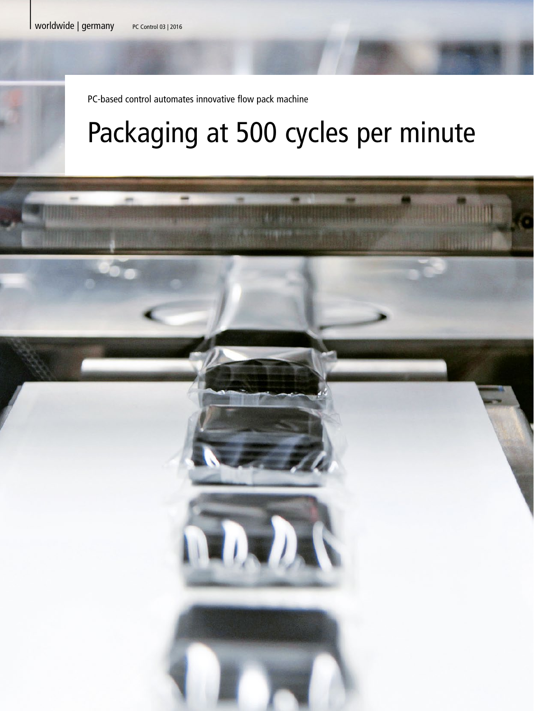PC-based control automates innovative flow pack machine

## Packaging at 500 cycles per minute

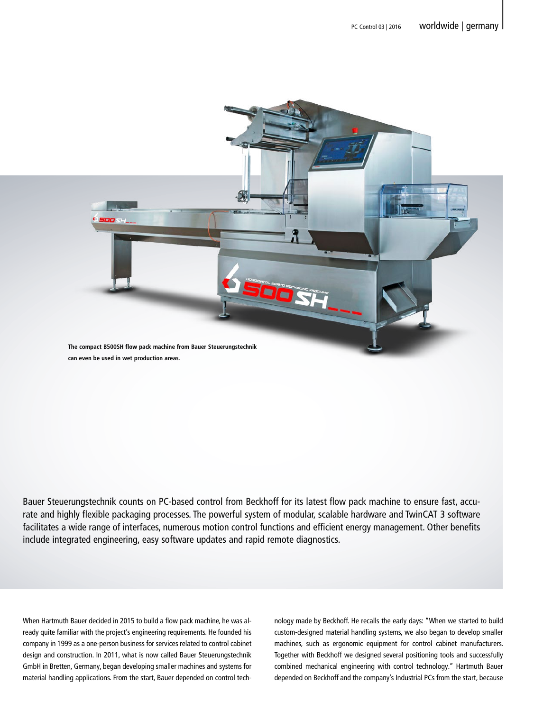

Bauer Steuerungstechnik counts on PC-based control from Beckhoff for its latest flow pack machine to ensure fast, accurate and highly flexible packaging processes. The powerful system of modular, scalable hardware and TwinCAT 3 software facilitates a wide range of interfaces, numerous motion control functions and efficient energy management. Other benefits include integrated engineering, easy software updates and rapid remote diagnostics.

When Hartmuth Bauer decided in 2015 to build a flow pack machine, he was already quite familiar with the project's engineering requirements. He founded his company in 1999 as a one-person business for services related to control cabinet design and construction. In 2011, what is now called Bauer Steuerungstechnik GmbH in Bretten, Germany, began developing smaller machines and systems for material handling applications. From the start, Bauer depended on control technology made by Beckhoff. He recalls the early days: "When we started to build custom-designed material handling systems, we also began to develop smaller machines, such as ergonomic equipment for control cabinet manufacturers. Together with Beckhoff we designed several positioning tools and successfully combined mechanical engineering with control technology." Hartmuth Bauer depended on Beckhoff and the company's Industrial PCs from the start, because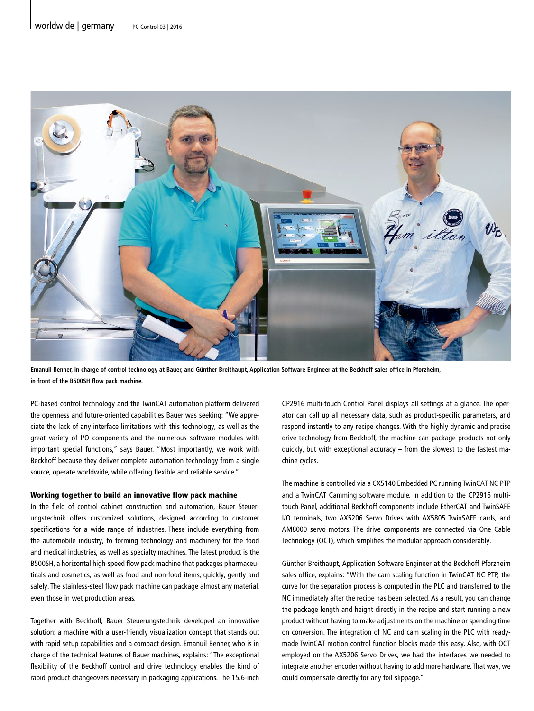

**Emanuil Benner, in charge of control technology at Bauer, and Günther Breithaupt, Application Software Engineer at the Beckhoff sales office in Pforzheim, in front of the B500SH flow pack machine.**

PC-based control technology and the TwinCAT automation platform delivered the openness and future-oriented capabilities Bauer was seeking: "We appreciate the lack of any interface limitations with this technology, as well as the great variety of I/O components and the numerous software modules with important special functions," says Bauer. "Most importantly, we work with Beckhoff because they deliver complete automation technology from a single source, operate worldwide, while offering flexible and reliable service."

## Working together to build an innovative flow pack machine

In the field of control cabinet construction and automation, Bauer Steuerungstechnik offers customized solutions, designed according to customer specifications for a wide range of industries. These include everything from the automobile industry, to forming technology and machinery for the food and medical industries, as well as specialty machines. The latest product is the B500SH, a horizontal high-speed flow pack machine that packages pharmaceuticals and cosmetics, as well as food and non-food items, quickly, gently and safely. The stainless-steel flow pack machine can package almost any material, even those in wet production areas.

Together with Beckhoff, Bauer Steuerungstechnik developed an innovative solution: a machine with a user-friendly visualization concept that stands out with rapid setup capabilities and a compact design. Emanuil Benner, who is in charge of the technical features of Bauer machines, explains: "The exceptional flexibility of the Beckhoff control and drive technology enables the kind of rapid product changeovers necessary in packaging applications. The 15.6-inch

CP2916 multi-touch Control Panel displays all settings at a glance. The operator can call up all necessary data, such as product-specific parameters, and respond instantly to any recipe changes. With the highly dynamic and precise drive technology from Beckhoff, the machine can package products not only quickly, but with exceptional accuracy – from the slowest to the fastest machine cycles.

The machine is controlled via a CX5140 Embedded PC running TwinCAT NC PTP and a TwinCAT Camming software module. In addition to the CP2916 multitouch Panel, additional Beckhoff components include EtherCAT and TwinSAFE I/O terminals, two AX5206 Servo Drives with AX5805 TwinSAFE cards, and AM8000 servo motors. The drive components are connected via One Cable Technology (OCT), which simplifies the modular approach considerably.

Günther Breithaupt, Application Software Engineer at the Beckhoff Pforzheim sales office, explains: "With the cam scaling function in TwinCAT NC PTP, the curve for the separation process is computed in the PLC and transferred to the NC immediately after the recipe has been selected. As a result, you can change the package length and height directly in the recipe and start running a new product without having to make adjustments on the machine or spending time on conversion. The integration of NC and cam scaling in the PLC with readymade TwinCAT motion control function blocks made this easy. Also, with OCT employed on the AX5206 Servo Drives, we had the interfaces we needed to integrate another encoder without having to add more hardware. That way, we could compensate directly for any foil slippage."